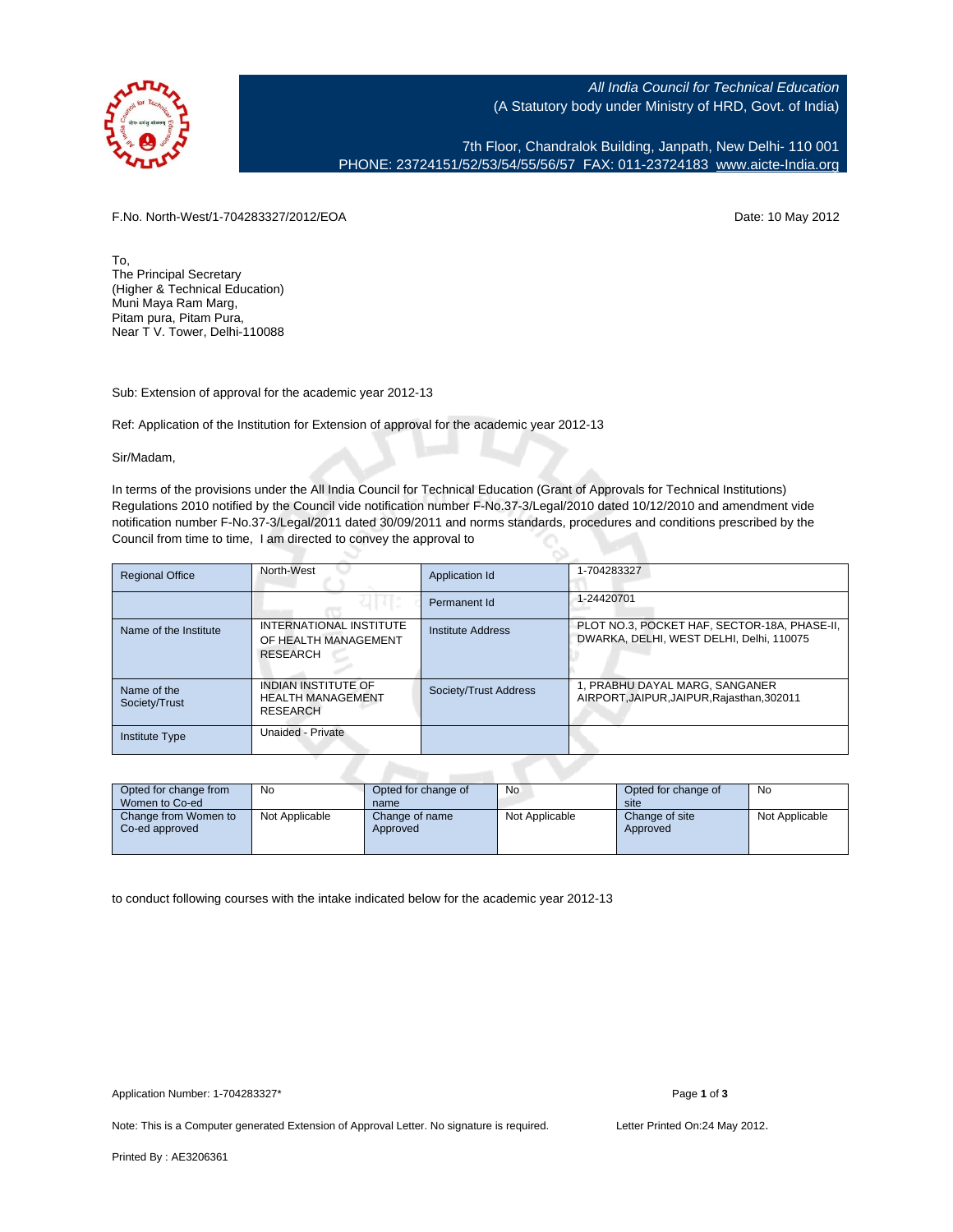

All India Council for Technical Education (A Statutory body under Ministry of HRD, Govt. of India)

7th Floor, Chandralok Building, Janpath, New Delhi- 110 001 PHONE: 23724151/52/53/54/55/56/57 FAX: 011-23724183 [www.aicte-India.org](http://www.aicte-India.org)

F.No. North-West/1-704283327/2012/EOA Date: 10 May 2012

To, The Principal Secretary (Higher & Technical Education) Muni Maya Ram Marg, Pitam pura, Pitam Pura, Near T V. Tower, Delhi-110088

Sub: Extension of approval for the academic year 2012-13

Ref: Application of the Institution for Extension of approval for the academic year 2012-13

Sir/Madam,

In terms of the provisions under the All India Council for Technical Education (Grant of Approvals for Technical Institutions) Regulations 2010 notified by the Council vide notification number F-No.37-3/Legal/2010 dated 10/12/2010 and amendment vide notification number F-No.37-3/Legal/2011 dated 30/09/2011 and norms standards, procedures and conditions prescribed by the Council from time to time, I am directed to convey the approval to

| <b>Regional Office</b>       | North-West                                                                | Application Id        | 1-704283327                                                                              |  |  |  |  |
|------------------------------|---------------------------------------------------------------------------|-----------------------|------------------------------------------------------------------------------------------|--|--|--|--|
|                              |                                                                           | Permanent Id          | 1-24420701                                                                               |  |  |  |  |
| Name of the Institute        | INTERNATIONAL INSTITUTE<br>OF HEALTH MANAGEMENT<br><b>RESEARCH</b>        | Institute Address     | PLOT NO.3, POCKET HAF, SECTOR-18A, PHASE-II,<br>DWARKA, DELHI, WEST DELHI, Delhi, 110075 |  |  |  |  |
| Name of the<br>Society/Trust | <b>INDIAN INSTITUTE OF</b><br><b>HEALTH MANAGEMENT</b><br><b>RESEARCH</b> | Society/Trust Address | 1, PRABHU DAYAL MARG, SANGANER<br>AIRPORT, JAIPUR, JAIPUR, Rajasthan, 302011             |  |  |  |  |
| <b>Institute Type</b>        | Unaided - Private                                                         |                       |                                                                                          |  |  |  |  |
|                              |                                                                           |                       |                                                                                          |  |  |  |  |

| Opted for change from<br>Women to Co-ed | No             | Opted for change of<br>name | <b>No</b>      | Opted for change of<br>site | No             |
|-----------------------------------------|----------------|-----------------------------|----------------|-----------------------------|----------------|
| Change from Women to<br>Co-ed approved  | Not Applicable | Change of name<br>Approved  | Not Applicable | Change of site<br>Approved  | Not Applicable |

to conduct following courses with the intake indicated below for the academic year 2012-13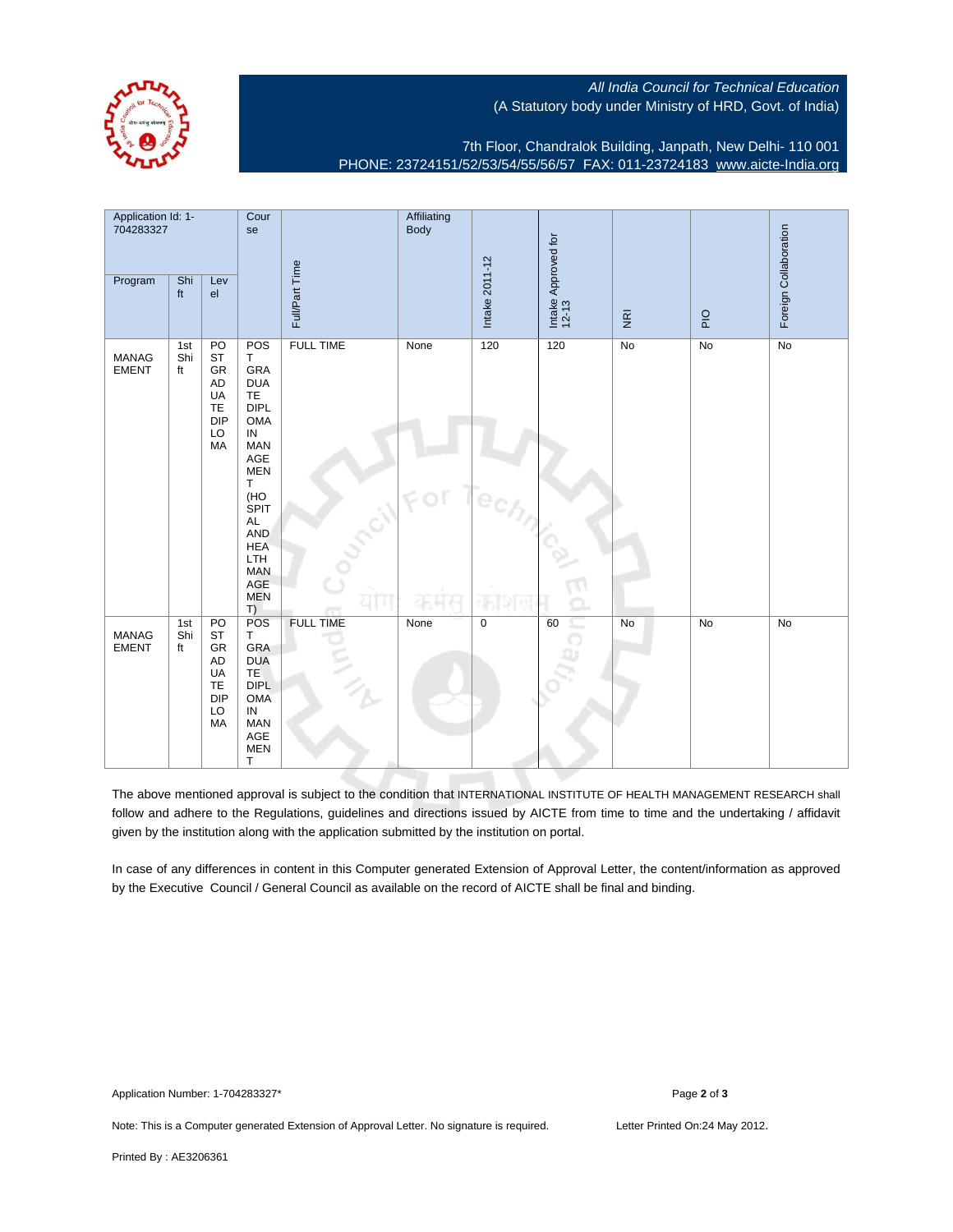

All India Council for Technical Education (A Statutory body under Ministry of HRD, Govt. of India)

7th Floor, Chandralok Building, Janpath, New Delhi- 110 001 PHONE: 23724151/52/53/54/55/56/57 FAX: 011-23724183 [www.aicte-India.org](http://www.aicte-India.org)

| Application Id: 1-<br>704283327 |                  | Cour<br>se                                                               |                                                                                                                                                                                                                                         | Affiliating<br>Body |             |                |                              |                         |    |                       |
|---------------------------------|------------------|--------------------------------------------------------------------------|-----------------------------------------------------------------------------------------------------------------------------------------------------------------------------------------------------------------------------------------|---------------------|-------------|----------------|------------------------------|-------------------------|----|-----------------------|
| Program                         | Shi<br>ft        | Lev<br>el                                                                |                                                                                                                                                                                                                                         | Full/Part Time      |             | Intake 2011-12 | Intake Approved for<br>12-13 | $\overline{\mathbf{g}}$ | P  | Foreign Collaboration |
| <b>MANAG</b><br><b>EMENT</b>    | 1st<br>Shi<br>ft | PO<br><b>ST</b><br>GR<br>AD<br>UA<br><b>TE</b><br><b>DIP</b><br>LO<br>MA | POS<br>T.<br>GRA<br><b>DUA</b><br><b>TE</b><br><b>DIPL</b><br><b>OMA</b><br>${\sf IN}$<br><b>MAN</b><br>AGE<br><b>MEN</b><br>T.<br>(HO<br>SPIT<br><b>AL</b><br>AND<br><b>HEA</b><br><b>LTH</b><br><b>MAN</b><br>AGE<br><b>MEN</b><br>T) | <b>FULL TIME</b>    | None<br>FOT | 120            | 120                          | No                      | No | $\overline{No}$       |
| MANAG<br><b>EMENT</b>           | 1st<br>Shi<br>ft | PO<br><b>ST</b><br>GR<br>AD<br>UA<br><b>TE</b><br><b>DIP</b><br>LO<br>MA | <b>POS</b><br>T.<br>GRA<br><b>DUA</b><br>TE<br><b>DIPL</b><br><b>OMA</b><br>$\sf IN$<br><b>MAN</b><br>AGE<br><b>MEN</b><br>T                                                                                                            | <b>FULL TIME</b>    | None        | $\mathsf 0$    | 60<br>c.                     | No                      | No | <b>No</b>             |

The above mentioned approval is subject to the condition that INTERNATIONAL INSTITUTE OF HEALTH MANAGEMENT RESEARCH shall follow and adhere to the Regulations, guidelines and directions issued by AICTE from time to time and the undertaking / affidavit given by the institution along with the application submitted by the institution on portal.

In case of any differences in content in this Computer generated Extension of Approval Letter, the content/information as approved by the Executive Council / General Council as available on the record of AICTE shall be final and binding.